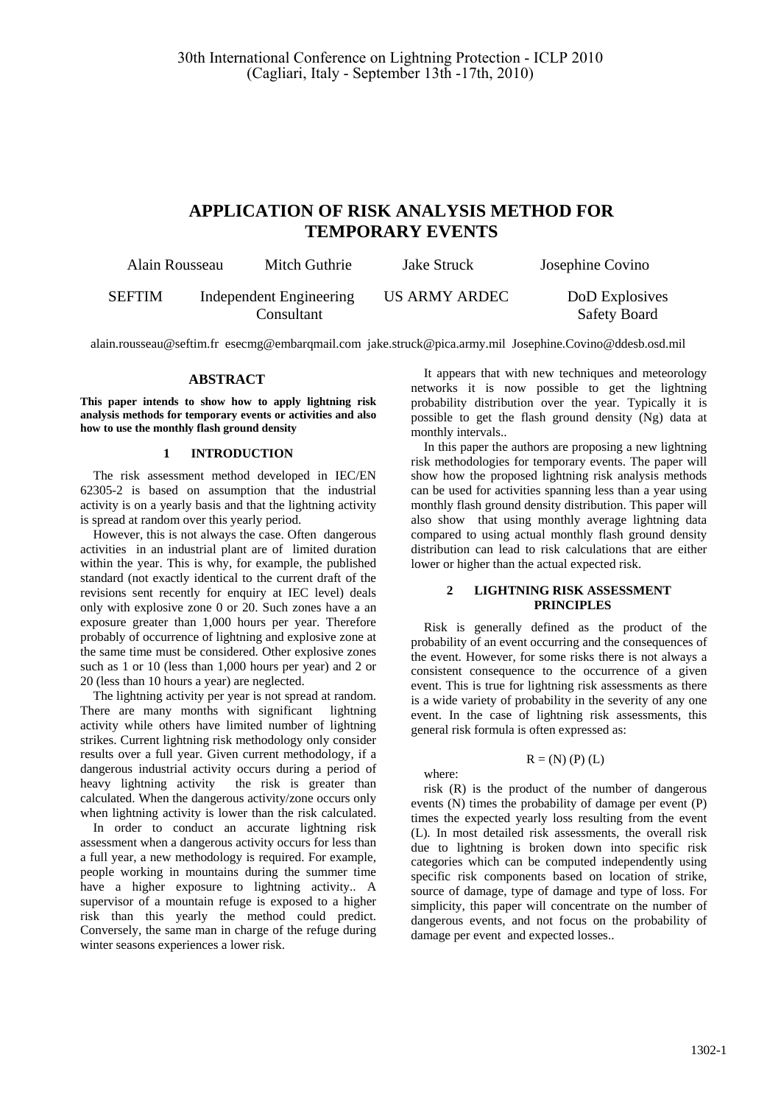# **APPLICATION OF RISK ANALYSIS METHOD FOR TEMPORARY EVENTS**

| Alain Rousseau |  | Mitch Guthrie           | Jake Struck   | Josephine Covino    |  |  |  |
|----------------|--|-------------------------|---------------|---------------------|--|--|--|
| SEFTIM         |  | Independent Engineering | US ARMY ARDEC | DoD Explosives      |  |  |  |
|                |  | Consultant              |               | <b>Safety Board</b> |  |  |  |

alain.rousseau@seftim.fr esecmg@embarqmail.com jake.struck@pica.army.mil Josephine.Covino@ddesb.osd.mil

# **ABSTRACT**

**This paper intends to show how to apply lightning risk analysis methods for temporary events or activities and also how to use the monthly flash ground density** 

# **1 INTRODUCTION**

The risk assessment method developed in IEC/EN 62305-2 is based on assumption that the industrial activity is on a yearly basis and that the lightning activity is spread at random over this yearly period.

However, this is not always the case. Often dangerous activities in an industrial plant are of limited duration within the year. This is why, for example, the published standard (not exactly identical to the current draft of the revisions sent recently for enquiry at IEC level) deals only with explosive zone 0 or 20. Such zones have a an exposure greater than 1,000 hours per year. Therefore probably of occurrence of lightning and explosive zone at the same time must be considered. Other explosive zones such as 1 or 10 (less than 1,000 hours per year) and 2 or 20 (less than 10 hours a year) are neglected.

The lightning activity per year is not spread at random. There are many months with significant lightning activity while others have limited number of lightning strikes. Current lightning risk methodology only consider results over a full year. Given current methodology, if a dangerous industrial activity occurs during a period of heavy lightning activity the risk is greater than calculated. When the dangerous activity/zone occurs only when lightning activity is lower than the risk calculated.

In order to conduct an accurate lightning risk assessment when a dangerous activity occurs for less than a full year, a new methodology is required. For example, people working in mountains during the summer time have a higher exposure to lightning activity.. A supervisor of a mountain refuge is exposed to a higher risk than this yearly the method could predict. Conversely, the same man in charge of the refuge during winter seasons experiences a lower risk.

It appears that with new techniques and meteorology networks it is now possible to get the lightning probability distribution over the year. Typically it is possible to get the flash ground density (Ng) data at monthly intervals..

In this paper the authors are proposing a new lightning risk methodologies for temporary events. The paper will show how the proposed lightning risk analysis methods can be used for activities spanning less than a year using monthly flash ground density distribution. This paper will also show that using monthly average lightning data compared to using actual monthly flash ground density distribution can lead to risk calculations that are either lower or higher than the actual expected risk.

# **2 LIGHTNING RISK ASSESSMENT PRINCIPLES**

Risk is generally defined as the product of the probability of an event occurring and the consequences of the event. However, for some risks there is not always a consistent consequence to the occurrence of a given event. This is true for lightning risk assessments as there is a wide variety of probability in the severity of any one event. In the case of lightning risk assessments, this general risk formula is often expressed as:

# $R = (N) (P) (L)$

risk (R) is the product of the number of dangerous events (N) times the probability of damage per event (P) times the expected yearly loss resulting from the event (L). In most detailed risk assessments, the overall risk due to lightning is broken down into specific risk categories which can be computed independently using specific risk components based on location of strike, source of damage, type of damage and type of loss. For simplicity, this paper will concentrate on the number of dangerous events, and not focus on the probability of damage per event and expected losses..

where: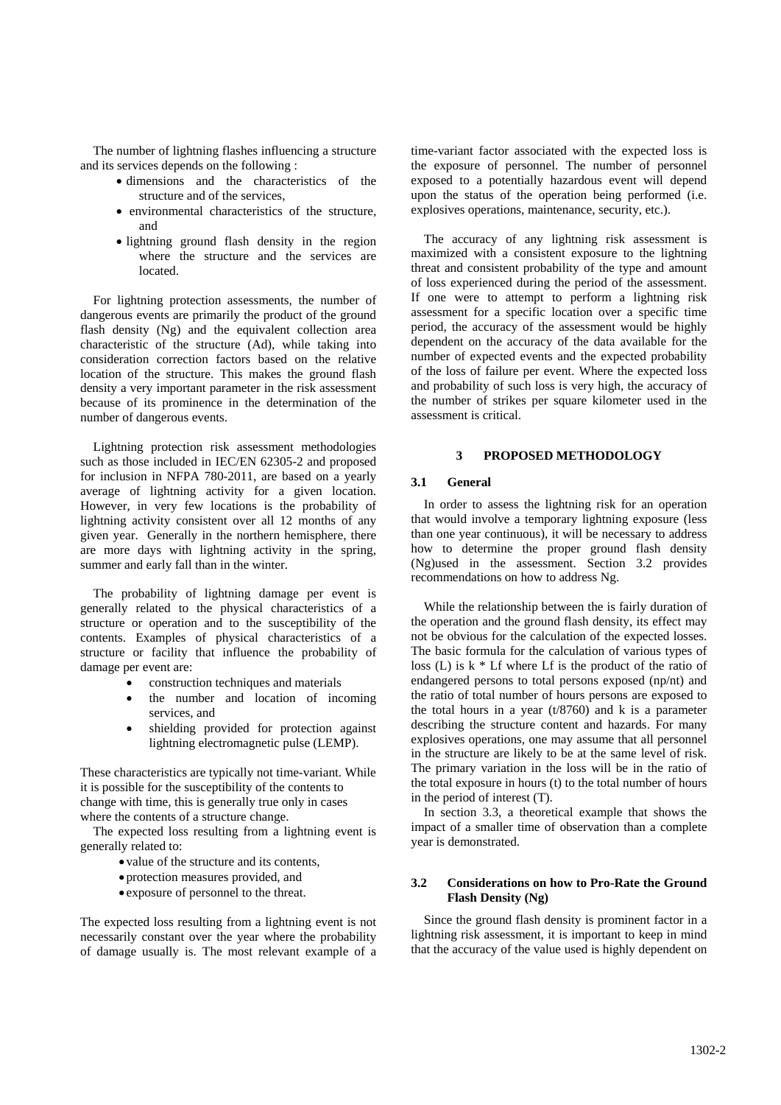The number of lightning flashes influencing a structure and its services depends on the following :

- dimensions and the characteristics of the structure and of the services,
- environmental characteristics of the structure, and
- lightning ground flash density in the region where the structure and the services are located.

For lightning protection assessments, the number of dangerous events are primarily the product of the ground flash density (Ng) and the equivalent collection area characteristic of the structure (Ad), while taking into consideration correction factors based on the relative location of the structure. This makes the ground flash density a very important parameter in the risk assessment because of its prominence in the determination of the number of dangerous events.

Lightning protection risk assessment methodologies such as those included in IEC/EN 62305-2 and proposed for inclusion in NFPA 780-2011, are based on a yearly average of lightning activity for a given location. However, in very few locations is the probability of lightning activity consistent over all 12 months of any given year. Generally in the northern hemisphere, there are more days with lightning activity in the spring, summer and early fall than in the winter.

The probability of lightning damage per event is generally related to the physical characteristics of a structure or operation and to the susceptibility of the contents. Examples of physical characteristics of a structure or facility that influence the probability of damage per event are:

- construction techniques and materials
- the number and location of incoming services, and
- shielding provided for protection against lightning electromagnetic pulse (LEMP).

These characteristics are typically not time-variant. While it is possible for the susceptibility of the contents to change with time, this is generally true only in cases where the contents of a structure change.

The expected loss resulting from a lightning event is generally related to:

- value of the structure and its contents,
- protection measures provided, and
- exposure of personnel to the threat.

The expected loss resulting from a lightning event is not necessarily constant over the year where the probability of damage usually is. The most relevant example of a time-variant factor associated with the expected loss is the exposure of personnel. The number of personnel exposed to a potentially hazardous event will depend upon the status of the operation being performed (i.e. explosives operations, maintenance, security, etc.).

The accuracy of any lightning risk assessment is maximized with a consistent exposure to the lightning threat and consistent probability of the type and amount of loss experienced during the period of the assessment. If one were to attempt to perform a lightning risk assessment for a specific location over a specific time period, the accuracy of the assessment would be highly dependent on the accuracy of the data available for the number of expected events and the expected probability of the loss of failure per event. Where the expected loss and probability of such loss is very high, the accuracy of the number of strikes per square kilometer used in the assessment is critical.

#### **3 PROPOSED METHODOLOGY**

#### **3.1 General**

In order to assess the lightning risk for an operation that would involve a temporary lightning exposure (less than one year continuous), it will be necessary to address how to determine the proper ground flash density (Ng)used in the assessment. Section 3.2 provides recommendations on how to address Ng.

While the relationship between the is fairly duration of the operation and the ground flash density, its effect may not be obvious for the calculation of the expected losses. The basic formula for the calculation of various types of loss (L) is  $k * Lf$  where Lf is the product of the ratio of endangered persons to total persons exposed (np/nt) and the ratio of total number of hours persons are exposed to the total hours in a year  $(t/8760)$  and k is a parameter describing the structure content and hazards. For many explosives operations, one may assume that all personnel in the structure are likely to be at the same level of risk. The primary variation in the loss will be in the ratio of the total exposure in hours (t) to the total number of hours in the period of interest (T).

In section 3.3, a theoretical example that shows the impact of a smaller time of observation than a complete year is demonstrated.

# **3.2 Considerations on how to Pro-Rate the Ground Flash Density (Ng)**

Since the ground flash density is prominent factor in a lightning risk assessment, it is important to keep in mind that the accuracy of the value used is highly dependent on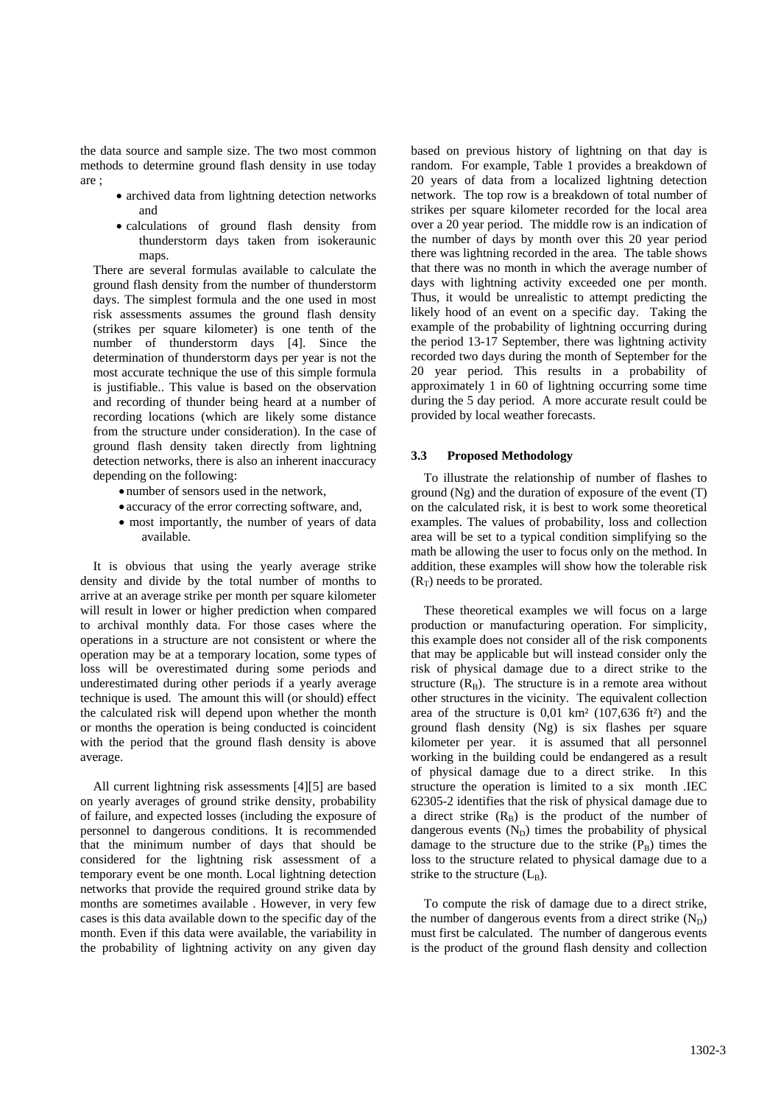the data source and sample size. The two most common methods to determine ground flash density in use today are ;

- archived data from lightning detection networks and
- calculations of ground flash density from thunderstorm days taken from isokeraunic maps.

There are several formulas available to calculate the ground flash density from the number of thunderstorm days. The simplest formula and the one used in most risk assessments assumes the ground flash density (strikes per square kilometer) is one tenth of the number of thunderstorm days [4]. Since the determination of thunderstorm days per year is not the most accurate technique the use of this simple formula is justifiable.. This value is based on the observation and recording of thunder being heard at a number of recording locations (which are likely some distance from the structure under consideration). In the case of ground flash density taken directly from lightning detection networks, there is also an inherent inaccuracy depending on the following:

- number of sensors used in the network,
- accuracy of the error correcting software, and,
- most importantly, the number of years of data available.

It is obvious that using the yearly average strike density and divide by the total number of months to arrive at an average strike per month per square kilometer will result in lower or higher prediction when compared to archival monthly data. For those cases where the operations in a structure are not consistent or where the operation may be at a temporary location, some types of loss will be overestimated during some periods and underestimated during other periods if a yearly average technique is used. The amount this will (or should) effect the calculated risk will depend upon whether the month or months the operation is being conducted is coincident with the period that the ground flash density is above average.

All current lightning risk assessments [4][5] are based on yearly averages of ground strike density, probability of failure, and expected losses (including the exposure of personnel to dangerous conditions. It is recommended that the minimum number of days that should be considered for the lightning risk assessment of a temporary event be one month. Local lightning detection networks that provide the required ground strike data by months are sometimes available . However, in very few cases is this data available down to the specific day of the month. Even if this data were available, the variability in the probability of lightning activity on any given day based on previous history of lightning on that day is random. For example, Table 1 provides a breakdown of 20 years of data from a localized lightning detection network. The top row is a breakdown of total number of strikes per square kilometer recorded for the local area over a 20 year period. The middle row is an indication of the number of days by month over this 20 year period there was lightning recorded in the area. The table shows that there was no month in which the average number of days with lightning activity exceeded one per month. Thus, it would be unrealistic to attempt predicting the likely hood of an event on a specific day. Taking the example of the probability of lightning occurring during the period 13-17 September, there was lightning activity recorded two days during the month of September for the 20 year period. This results in a probability of approximately 1 in 60 of lightning occurring some time during the 5 day period. A more accurate result could be provided by local weather forecasts.

#### **3.3 Proposed Methodology**

To illustrate the relationship of number of flashes to ground (Ng) and the duration of exposure of the event (T) on the calculated risk, it is best to work some theoretical examples. The values of probability, loss and collection area will be set to a typical condition simplifying so the math be allowing the user to focus only on the method. In addition, these examples will show how the tolerable risk  $(R_T)$  needs to be prorated.

These theoretical examples we will focus on a large production or manufacturing operation. For simplicity, this example does not consider all of the risk components that may be applicable but will instead consider only the risk of physical damage due to a direct strike to the structure  $(R_B)$ . The structure is in a remote area without other structures in the vicinity. The equivalent collection area of the structure is  $0.01 \text{ km}^2$  (107,636 ft<sup>2</sup>) and the ground flash density (Ng) is six flashes per square kilometer per year. it is assumed that all personnel working in the building could be endangered as a result of physical damage due to a direct strike. In this structure the operation is limited to a six month .IEC 62305-2 identifies that the risk of physical damage due to a direct strike  $(R_B)$  is the product of the number of dangerous events  $(N_D)$  times the probability of physical damage to the structure due to the strike  $(P_B)$  times the loss to the structure related to physical damage due to a strike to the structure  $(L_B)$ .

To compute the risk of damage due to a direct strike, the number of dangerous events from a direct strike  $(N_D)$ must first be calculated. The number of dangerous events is the product of the ground flash density and collection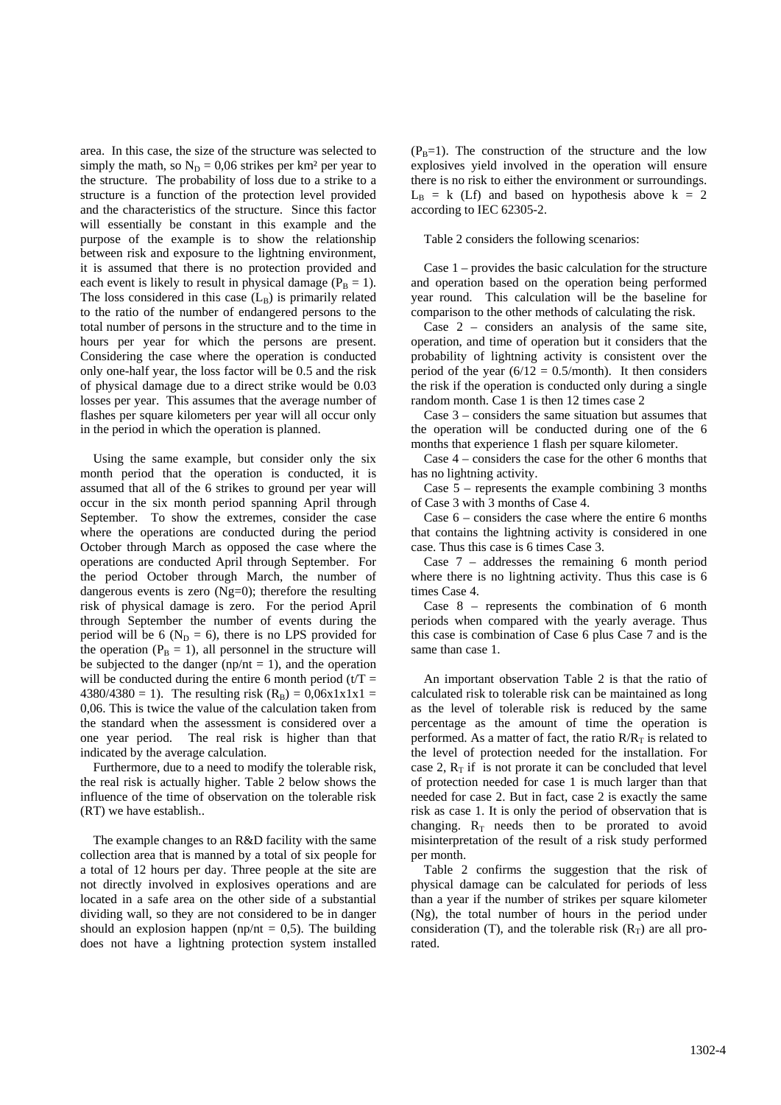area. In this case, the size of the structure was selected to simply the math, so  $N_D = 0.06$  strikes per km<sup>2</sup> per year to the structure. The probability of loss due to a strike to a structure is a function of the protection level provided and the characteristics of the structure. Since this factor will essentially be constant in this example and the purpose of the example is to show the relationship between risk and exposure to the lightning environment, it is assumed that there is no protection provided and each event is likely to result in physical damage ( $P_B = 1$ ). The loss considered in this case  $(L_B)$  is primarily related to the ratio of the number of endangered persons to the total number of persons in the structure and to the time in hours per year for which the persons are present. Considering the case where the operation is conducted only one-half year, the loss factor will be 0.5 and the risk of physical damage due to a direct strike would be 0.03 losses per year. This assumes that the average number of flashes per square kilometers per year will all occur only in the period in which the operation is planned.

Using the same example, but consider only the six month period that the operation is conducted, it is assumed that all of the 6 strikes to ground per year will occur in the six month period spanning April through September. To show the extremes, consider the case where the operations are conducted during the period October through March as opposed the case where the operations are conducted April through September. For the period October through March, the number of dangerous events is zero (Ng=0); therefore the resulting risk of physical damage is zero. For the period April through September the number of events during the period will be 6 ( $N_D = 6$ ), there is no LPS provided for the operation ( $P_B = 1$ ), all personnel in the structure will be subjected to the danger (np/nt = 1), and the operation will be conducted during the entire 6 month period (t/T =  $4380/4380 = 1$ . The resulting risk  $(R_B) = 0.06x1x1x1 =$ 0,06. This is twice the value of the calculation taken from the standard when the assessment is considered over a one year period. The real risk is higher than that indicated by the average calculation.

Furthermore, due to a need to modify the tolerable risk, the real risk is actually higher. Table 2 below shows the influence of the time of observation on the tolerable risk (RT) we have establish..

The example changes to an R&D facility with the same collection area that is manned by a total of six people for a total of 12 hours per day. Three people at the site are not directly involved in explosives operations and are located in a safe area on the other side of a substantial dividing wall, so they are not considered to be in danger should an explosion happen (np/nt = 0,5). The building does not have a lightning protection system installed

 $(P_B=1)$ . The construction of the structure and the low explosives yield involved in the operation will ensure there is no risk to either the environment or surroundings.  $L_B = k$  (Lf) and based on hypothesis above  $k = 2$ according to IEC 62305-2.

Table 2 considers the following scenarios:

Case 1 – provides the basic calculation for the structure and operation based on the operation being performed year round. This calculation will be the baseline for comparison to the other methods of calculating the risk.

Case 2 – considers an analysis of the same site, operation, and time of operation but it considers that the probability of lightning activity is consistent over the period of the year  $(6/12 = 0.5/$ month). It then considers the risk if the operation is conducted only during a single random month. Case 1 is then 12 times case 2

Case 3 – considers the same situation but assumes that the operation will be conducted during one of the 6 months that experience 1 flash per square kilometer.

Case 4 – considers the case for the other 6 months that has no lightning activity.

Case 5 – represents the example combining 3 months of Case 3 with 3 months of Case 4.

Case 6 – considers the case where the entire 6 months that contains the lightning activity is considered in one case. Thus this case is 6 times Case 3.

Case 7 – addresses the remaining 6 month period where there is no lightning activity. Thus this case is 6 times Case 4.

Case 8 – represents the combination of 6 month periods when compared with the yearly average. Thus this case is combination of Case 6 plus Case 7 and is the same than case 1.

An important observation Table 2 is that the ratio of calculated risk to tolerable risk can be maintained as long as the level of tolerable risk is reduced by the same percentage as the amount of time the operation is performed. As a matter of fact, the ratio  $R/R<sub>T</sub>$  is related to the level of protection needed for the installation. For case 2,  $R_T$  if is not prorate it can be concluded that level of protection needed for case 1 is much larger than that needed for case 2. But in fact, case 2 is exactly the same risk as case 1. It is only the period of observation that is changing.  $R_T$  needs then to be prorated to avoid misinterpretation of the result of a risk study performed per month.

Table 2 confirms the suggestion that the risk of physical damage can be calculated for periods of less than a year if the number of strikes per square kilometer (Ng), the total number of hours in the period under consideration (T), and the tolerable risk  $(R_T)$  are all prorated.